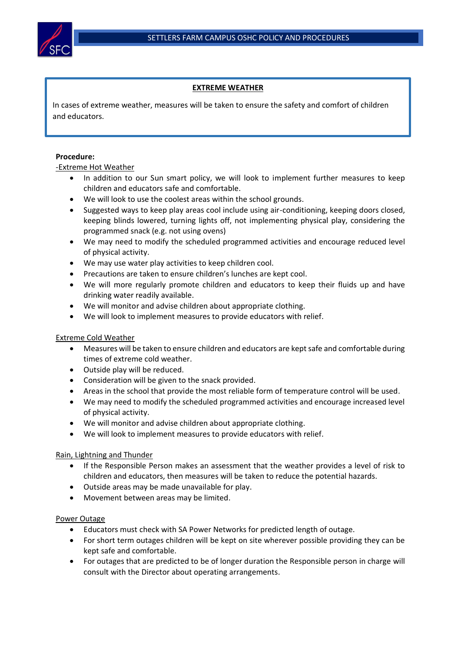

 $\overline{a}$ 

.

# **EXTREME WEATHER**

In cases of extreme weather, measures will be taken to ensure the safety and comfort of children and educators.

### **Procedure:**

# -Extreme Hot Weather

- In addition to our Sun smart policy, we will look to implement further measures to keep children and educators safe and comfortable.
- We will look to use the coolest areas within the school grounds.
- Suggested ways to keep play areas cool include using air-conditioning, keeping doors closed, keeping blinds lowered, turning lights off, not implementing physical play, considering the programmed snack (e.g. not using ovens)
- We may need to modify the scheduled programmed activities and encourage reduced level of physical activity.
- We may use water play activities to keep children cool.
- Precautions are taken to ensure children's lunches are kept cool.
- We will more regularly promote children and educators to keep their fluids up and have drinking water readily available.
- We will monitor and advise children about appropriate clothing.
- We will look to implement measures to provide educators with relief.

#### Extreme Cold Weather

- Measures will be taken to ensure children and educators are kept safe and comfortable during times of extreme cold weather.
- Outside play will be reduced.
- Consideration will be given to the snack provided.
- Areas in the school that provide the most reliable form of temperature control will be used.
- We may need to modify the scheduled programmed activities and encourage increased level of physical activity.
- We will monitor and advise children about appropriate clothing.
- We will look to implement measures to provide educators with relief.

#### Rain, Lightning and Thunder

- If the Responsible Person makes an assessment that the weather provides a level of risk to children and educators, then measures will be taken to reduce the potential hazards.
- Outside areas may be made unavailable for play.
- Movement between areas may be limited.

#### Power Outage

- Educators must check with SA Power Networks for predicted length of outage.
- For short term outages children will be kept on site wherever possible providing they can be kept safe and comfortable.
- For outages that are predicted to be of longer duration the Responsible person in charge will consult with the Director about operating arrangements.